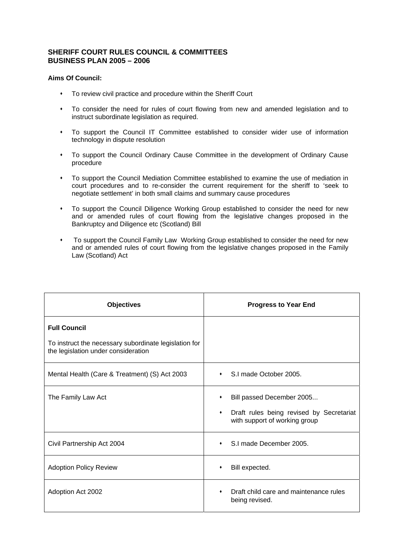## **SHERIFF COURT RULES COUNCIL & COMMITTEES BUSINESS PLAN 2005 – 2006**

## **Aims Of Council:**

- To review civil practice and procedure within the Sheriff Court
- To consider the need for rules of court flowing from new and amended legislation and to instruct subordinate legislation as required.
- To support the Council IT Committee established to consider wider use of information technology in dispute resolution
- To support the Council Ordinary Cause Committee in the development of Ordinary Cause procedure
- To support the Council Mediation Committee established to examine the use of mediation in court procedures and to re-consider the current requirement for the sheriff to 'seek to negotiate settlement' in both small claims and summary cause procedures
- To support the Council Diligence Working Group established to consider the need for new and or amended rules of court flowing from the legislative changes proposed in the Bankruptcy and Diligence etc (Scotland) Bill
- To support the Council Family Law Working Group established to consider the need for new and or amended rules of court flowing from the legislative changes proposed in the Family Law (Scotland) Act

| <b>Objectives</b>                                                                            | <b>Progress to Year End</b>                                                    |
|----------------------------------------------------------------------------------------------|--------------------------------------------------------------------------------|
| <b>Full Council</b>                                                                          |                                                                                |
| To instruct the necessary subordinate legislation for<br>the legislation under consideration |                                                                                |
| Mental Health (Care & Treatment) (S) Act 2003                                                | S.I made October 2005.                                                         |
| The Family Law Act                                                                           | Bill passed December 2005                                                      |
|                                                                                              | Draft rules being revised by Secretariat<br>٠<br>with support of working group |
| Civil Partnership Act 2004                                                                   | S.I made December 2005.                                                        |
| <b>Adoption Policy Review</b>                                                                | Bill expected.<br>٠                                                            |
| Adoption Act 2002                                                                            | Draft child care and maintenance rules<br>being revised.                       |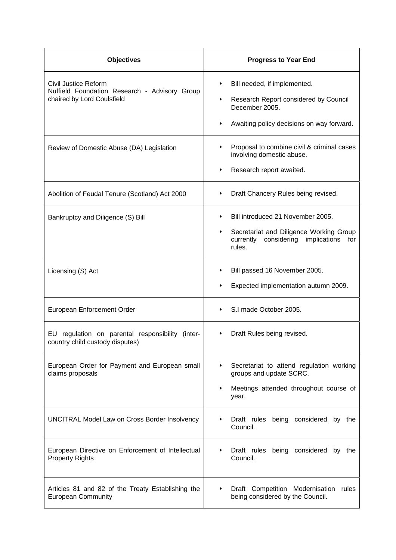| <b>Objectives</b>                                                                                   | <b>Progress to Year End</b>                                                                                                                         |
|-----------------------------------------------------------------------------------------------------|-----------------------------------------------------------------------------------------------------------------------------------------------------|
| Civil Justice Reform<br>Nuffield Foundation Research - Advisory Group<br>chaired by Lord Coulsfield | Bill needed, if implemented.<br>٠<br>Research Report considered by Council<br>٠<br>December 2005.<br>Awaiting policy decisions on way forward.<br>٠ |
| Review of Domestic Abuse (DA) Legislation                                                           | Proposal to combine civil & criminal cases<br>٠<br>involving domestic abuse.<br>Research report awaited.<br>٠                                       |
| Abolition of Feudal Tenure (Scotland) Act 2000                                                      | Draft Chancery Rules being revised.<br>٠                                                                                                            |
| Bankruptcy and Diligence (S) Bill                                                                   | Bill introduced 21 November 2005.<br>٠<br>Secretariat and Diligence Working Group<br>٠<br>currently considering<br>implications<br>for<br>rules.    |
| Licensing (S) Act                                                                                   | Bill passed 16 November 2005.<br>٠<br>Expected implementation autumn 2009.                                                                          |
| European Enforcement Order                                                                          | S.I made October 2005.                                                                                                                              |
| regulation on parental responsibility (inter-<br>EU l<br>country child custody disputes)            | Draft Rules being revised.                                                                                                                          |
| European Order for Payment and European small<br>claims proposals                                   | Secretariat to attend regulation working<br>٠<br>groups and update SCRC.<br>Meetings attended throughout course of<br>٠<br>year.                    |
| UNCITRAL Model Law on Cross Border Insolvency                                                       | Draft rules being considered by the<br>Council.                                                                                                     |
| European Directive on Enforcement of Intellectual<br><b>Property Rights</b>                         | Draft rules being considered by the<br>Council.                                                                                                     |
| Articles 81 and 82 of the Treaty Establishing the<br><b>European Community</b>                      | Draft Competition Modernisation<br>rules<br>٠<br>being considered by the Council.                                                                   |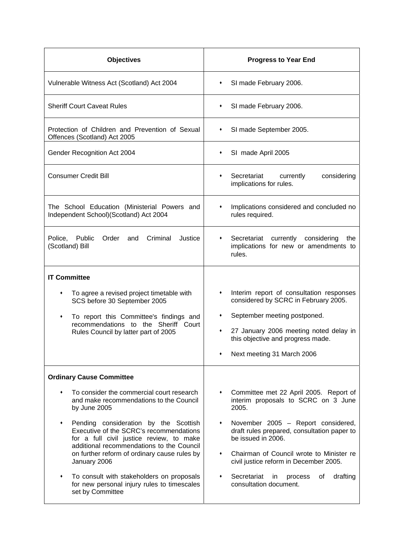| <b>Objectives</b>                                                                                                                                                                                                                                                                                                                                                              | <b>Progress to Year End</b>                                                                                                                                                                                                                                                                       |
|--------------------------------------------------------------------------------------------------------------------------------------------------------------------------------------------------------------------------------------------------------------------------------------------------------------------------------------------------------------------------------|---------------------------------------------------------------------------------------------------------------------------------------------------------------------------------------------------------------------------------------------------------------------------------------------------|
| Vulnerable Witness Act (Scotland) Act 2004                                                                                                                                                                                                                                                                                                                                     | SI made February 2006.<br>٠                                                                                                                                                                                                                                                                       |
| <b>Sheriff Court Caveat Rules</b>                                                                                                                                                                                                                                                                                                                                              | SI made February 2006.<br>٠                                                                                                                                                                                                                                                                       |
| Protection of Children and Prevention of Sexual<br>Offences (Scotland) Act 2005                                                                                                                                                                                                                                                                                                | SI made September 2005.<br>٠                                                                                                                                                                                                                                                                      |
| Gender Recognition Act 2004                                                                                                                                                                                                                                                                                                                                                    | SI made April 2005<br>٠                                                                                                                                                                                                                                                                           |
| <b>Consumer Credit Bill</b>                                                                                                                                                                                                                                                                                                                                                    | Secretariat<br>currently<br>considering<br>implications for rules.                                                                                                                                                                                                                                |
| The School Education (Ministerial Powers and<br>Independent School)(Scotland) Act 2004                                                                                                                                                                                                                                                                                         | Implications considered and concluded no<br>rules required.                                                                                                                                                                                                                                       |
| Police, Public<br>Order<br>Criminal<br>and<br>Justice<br>(Scotland) Bill                                                                                                                                                                                                                                                                                                       | currently considering<br>Secretariat<br>the<br>٠<br>implications for new or amendments to<br>rules.                                                                                                                                                                                               |
| <b>IT Committee</b><br>To agree a revised project timetable with<br>٠<br>SCS before 30 September 2005<br>To report this Committee's findings and<br>٠<br>recommendations to the Sheriff Court<br>Rules Council by latter part of 2005                                                                                                                                          | Interim report of consultation responses<br>٠<br>considered by SCRC in February 2005.<br>September meeting postponed.<br>٠<br>27 January 2006 meeting noted delay in<br>٠<br>this objective and progress made.<br>Next meeting 31 March 2006                                                      |
| <b>Ordinary Cause Committee</b><br>To consider the commercial court research<br>٠<br>and make recommendations to the Council                                                                                                                                                                                                                                                   | Committee met 22 April 2005. Report of<br>٠<br>interim proposals to SCRC on 3 June                                                                                                                                                                                                                |
| by June 2005<br>Pending consideration by the Scottish<br>Executive of the SCRC's recommendations<br>for a full civil justice review, to make<br>additional recommendations to the Council<br>on further reform of ordinary cause rules by<br>January 2006<br>To consult with stakeholders on proposals<br>٠<br>for new personal injury rules to timescales<br>set by Committee | 2005.<br>November 2005 - Report considered,<br>٠<br>draft rules prepared, consultation paper to<br>be issued in 2006.<br>Chairman of Council wrote to Minister re<br>٠<br>civil justice reform in December 2005.<br>Secretariat<br>οf<br>drafting<br>in<br>٠<br>process<br>consultation document. |